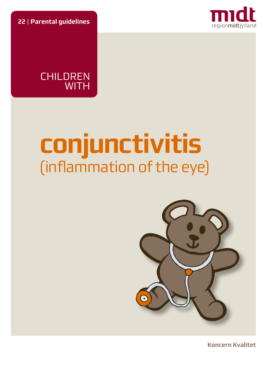**22** | **Parental guidelines**



**CHILDREN WITH** 

# **conjunctivitis** (inflammation of the eye)



**Koncern Kvalitet**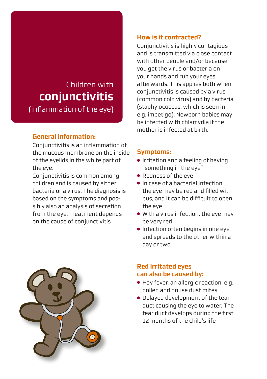# Children with  **conjunctivitis** (inflammation of the eye)

# **General information:**

Conjunctivitis is an inflammation of the mucous membrane on the inside of the eyelids in the white part of the eye.

Conjunctivitis is common among children and is caused by either bacteria or a virus. The diagnosis is based on the symptoms and possibly also an analysis of secretion from the eye. Treatment depends on the cause of conjunctivitis.

#### **How is it contracted?**

Conjunctivitis is highly contagious and is transmitted via close contact with other people and/or because you get the virus or bacteria on your hands and rub your eyes afterwards. This applies both when conjunctivitis is caused by a virus (common cold virus) and by bacteria (staphylococcus, which is seen in e.g. impetigo). Newborn babies may be infected with chlamydia if the mother is infected at birth.

#### **Symptoms:**

- Irritation and a feeling of having "something in the eye"
- Redness of the eye
- $\bullet$  In case of a bacterial infection the eye may be red and filled with pus, and it can be difficult to open the eye
- With a virus infection, the eye may be very red
- Infection often begins in one eye and spreads to the other within a day or two

## **Red irritated eyes can also be caused by:**

- Hay fever, an allergic reaction, e.g. pollen and house dust mites
- Delayed development of the tear duct causing the eye to water. The tear duct develops during the first 12 months of the child's life

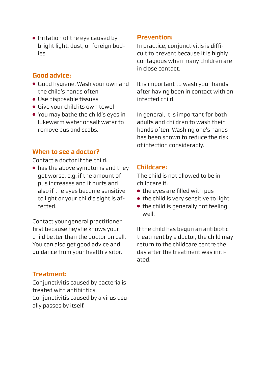● Irritation of the eye caused by bright light, dust, or foreign bodies.

#### **Good advice:**

- Good hygiene. Wash your own and the child's hands often
- Use disposable tissues
- Give your child its own towel
- You may bathe the child's eyes in lukewarm water or salt water to remove pus and scabs.

#### **When to see a doctor?**

Contact a doctor if the child:

● has the above symptoms and they get worse, e.g. if the amount of pus increases and it hurts and also if the eyes become sensitive to light or your child's sight is affected.

Contact your general practitioner first because he/she knows your child better than the doctor on call. You can also get good advice and guidance from your health visitor.

# **Treatment:**

Conjunctivitis caused by bacteria is treated with antibiotics. Conjunctivitis caused by a virus usually passes by itself.

#### **Prevention:**

In practice, conjunctivitis is difficult to prevent because it is highly contagious when many children are in close contact.

It is important to wash your hands after having been in contact with an infected child.

In general, it is important for both adults and children to wash their hands often. Washing one's hands has been shown to reduce the risk of infection considerably.

#### **Childcare:**

The child is not allowed to be in childcare if:

- the eyes are filled with pus
- the child is very sensitive to light
- the child is generally not feeling well.

If the child has begun an antibiotic treatment by a doctor, the child may return to the childcare centre the day after the treatment was initiated.